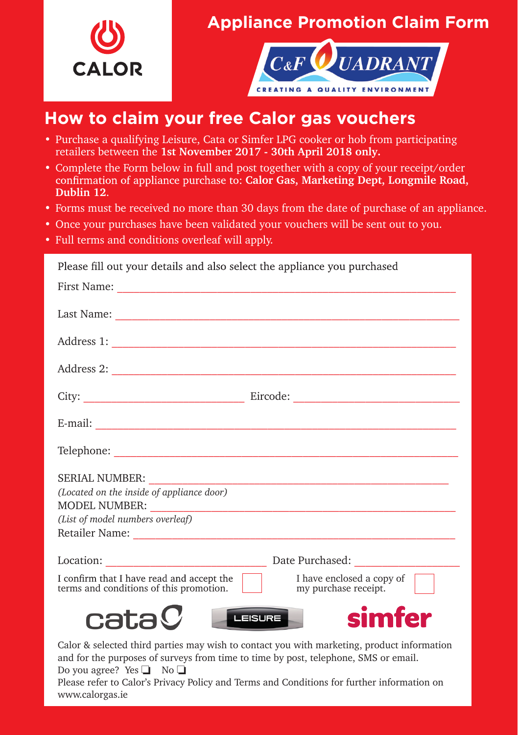

## **Appliance Promotion Claim Form**



## **How to claim your free Calor gas vouchers**

- Purchase a qualifying Leisure, Cata or Simfer LPG cooker or hob from participating retailers between the **1st November 2017 - 30th April 2018 only.** .
- Complete the Form below in full and post together with a copy of your receipt/order confirmation of appliance purchase to: **Calor Gas, Marketing Dept, Longmile Road, Dublin 12**.
- Forms must be received no more than 30 days from the date of purchase of an appliance.
- Once your purchases have been validated your vouchers will be sent out to you.
- Full terms and conditions overleaf will apply.

| Please fill out your details and also select the appliance you purchased                                                                                                          |
|-----------------------------------------------------------------------------------------------------------------------------------------------------------------------------------|
|                                                                                                                                                                                   |
|                                                                                                                                                                                   |
|                                                                                                                                                                                   |
|                                                                                                                                                                                   |
|                                                                                                                                                                                   |
|                                                                                                                                                                                   |
|                                                                                                                                                                                   |
| SERIAL NUMBER: _______________<br><u> 1989 - Johann Barn, fransk politik (d. 1989)</u>                                                                                            |
| (Located on the inside of appliance door)                                                                                                                                         |
|                                                                                                                                                                                   |
| (List of model numbers overleaf)                                                                                                                                                  |
|                                                                                                                                                                                   |
|                                                                                                                                                                                   |
| I have enclosed a copy of $\sqrt{\frac{1}{1-\epsilon}}$<br>I confirm that I have read and accept the<br>terms and conditions of this promotion.<br>my purchase receipt.           |
| simfer<br>$\mathbf c$ ata $\mathbf C$<br>LEISURE                                                                                                                                  |
| Calor & selected third parties may wish to contact you with marketing, product information<br>and for the purposes of surveys from time to time by post, telephone, SMS or email. |

and for the purposes of surveys from time to time by post, telephone, SMS or email. Do you agree? Yes ❏ No ❏

Please refer to Calor's Privacy Policy and Terms and Conditions for further information on www.calorgas.ie